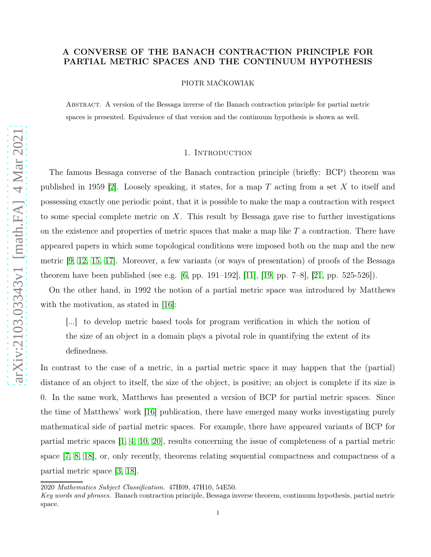# A CONVERSE OF THE BANACH CONTRACTION PRINCIPLE FOR PARTIAL METRIC SPACES AND THE CONTINUUM HYPOTHESIS

PIOTR MAĆKOWIAK

Abstract. A version of the Bessaga inverse of the Banach contraction principle for partial metric spaces is presented. Equivalence of that version and the continuum hypothesis is shown as well.

## 1. INTRODUCTION

The famous Bessaga converse of the Banach contraction principle (briefly: BCP) theorem was published in 1959 [\[2\]](#page-8-0). Loosely speaking, it states, for a map T acting from a set X to itself and possessing exactly one periodic point, that it is possible to make the map a contraction with respect to some special complete metric on  $X$ . This result by Bessaga gave rise to further investigations on the existence and properties of metric spaces that make a map like  $T$  a contraction. There have appeared papers in which some topological conditions were imposed both on the map and the new metric [\[9,](#page-8-1) [12,](#page-8-2) [15,](#page-8-3) [17\]](#page-8-4). Moreover, a few variants (or ways of presentation) of proofs of the Bessaga theorem have been published (see e.g. [\[6,](#page-8-5) pp. 191–192], [\[11\]](#page-8-6), [\[19,](#page-9-0) pp. 7–8], [\[21,](#page-9-1) pp. 525-526]).

On the other hand, in 1992 the notion of a partial metric space was introduced by Matthews with the motivation, as stated in [\[16\]](#page-8-7):

[...] to develop metric based tools for program verification in which the notion of the size of an object in a domain plays a pivotal role in quantifying the extent of its definedness.

In contrast to the case of a metric, in a partial metric space it may happen that the (partial) distance of an object to itself, the size of the object, is positive; an object is complete if its size is 0. In the same work, Matthews has presented a version of BCP for partial metric spaces. Since the time of Matthews' work [\[16\]](#page-8-7) publication, there have emerged many works investigating purely mathematical side of partial metric spaces. For example, there have appeared variants of BCP for partial metric spaces [\[1,](#page-8-8) [4,](#page-8-9) [10,](#page-8-10) [20\]](#page-9-2), results concerning the issue of completeness of a partial metric space [\[7,](#page-8-11) [8,](#page-8-12) [18\]](#page-8-13), or, only recently, theorems relating sequential compactness and compactness of a partial metric space [\[3,](#page-8-14) [18\]](#page-8-13).

<sup>2020</sup> Mathematics Subject Classification. 47H09, 47H10, 54E50.

Key words and phrases. Banach contraction principle, Bessaga inverse theorem, continuum hypothesis, partial metric space.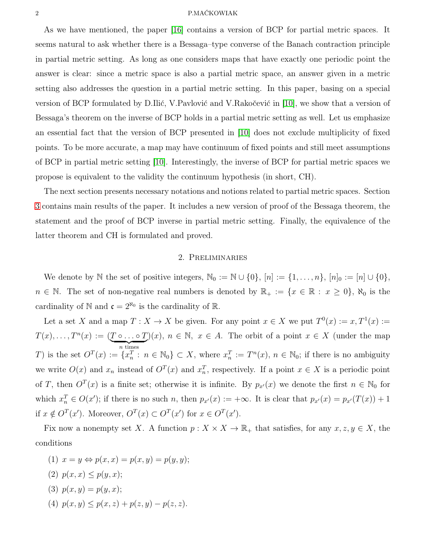#### 2 P.MAĆKOWIAK

As we have mentioned, the paper [\[16\]](#page-8-7) contains a version of BCP for partial metric spaces. It seems natural to ask whether there is a Bessaga–type converse of the Banach contraction principle in partial metric setting. As long as one considers maps that have exactly one periodic point the answer is clear: since a metric space is also a partial metric space, an answer given in a metric setting also addresses the question in a partial metric setting. In this paper, basing on a special version of BCP formulated by D.Ilić, V.Pavlović and V.Rakočević in [\[10\]](#page-8-10), we show that a version of Bessaga's theorem on the inverse of BCP holds in a partial metric setting as well. Let us emphasize an essential fact that the version of BCP presented in [\[10\]](#page-8-10) does not exclude multiplicity of fixed points. To be more accurate, a map may have continuum of fixed points and still meet assumptions of BCP in partial metric setting [\[10\]](#page-8-10). Interestingly, the inverse of BCP for partial metric spaces we propose is equivalent to the validity the continuum hypothesis (in short, CH).

The next section presents necessary notations and notions related to partial metric spaces. Section [3](#page-2-0) contains main results of the paper. It includes a new version of proof of the Bessaga theorem, the statement and the proof of BCP inverse in partial metric setting. Finally, the equivalence of the latter theorem and CH is formulated and proved.

# 2. Preliminaries

We denote by N the set of positive integers,  $\mathbb{N}_0 := \mathbb{N} \cup \{0\}$ ,  $[n] := \{1, \ldots, n\}$ ,  $[n]_0 := [n] \cup \{0\}$ ,  $n \in \mathbb{N}$ . The set of non-negative real numbers is denoted by  $\mathbb{R}_+ := \{x \in \mathbb{R} : x \geq 0\}$ ,  $\aleph_0$  is the cardinality of  $\mathbb N$  and  $\mathfrak c = 2^{\aleph_0}$  is the cardinality of  $\mathbb R$ .

Let a set X and a map  $T: X \to X$  be given. For any point  $x \in X$  we put  $T^0(x) := x, T^1(x) := x$  $T(x), \ldots, T^n(x) := (\underbrace{T \circ \ldots \circ T}_{n \text{ times}})(x), n \in \mathbb{N}, x \in A$ . The orbit of a point  $x \in X$  (under the map n times T) is the set  $O^T(x) := \{x_n^T : n \in \mathbb{N}_0\} \subset X$ , where  $x_n^T := T^n(x)$ ,  $n \in \mathbb{N}_0$ ; if there is no ambiguity we write  $O(x)$  and  $x_n$  instead of  $O^T(x)$  and  $x_n^T$ , respectively. If a point  $x \in X$  is a periodic point of T, then  $O^T(x)$  is a finite set; otherwise it is infinite. By  $p_{x'}(x)$  we denote the first  $n \in \mathbb{N}_0$  for which  $x_n^T \in O(x')$ ; if there is no such n, then  $p_{x'}(x) := +\infty$ . It is clear that  $p_{x'}(x) = p_{x'}(T(x)) + 1$ if  $x \notin O^T(x')$ . Moreover,  $O^T(x) \subset O^T(x')$  for  $x \in O^T(x')$ .

Fix now a nonempty set X. A function  $p: X \times X \to \mathbb{R}_+$  that satisfies, for any  $x, z, y \in X$ , the conditions

- (1)  $x = y \Leftrightarrow p(x, x) = p(x, y) = p(y, y);$
- (2)  $p(x, x) \leq p(y, x);$
- (3)  $p(x, y) = p(y, x);$
- (4)  $p(x, y) \leq p(x, z) + p(z, y) p(z, z)$ .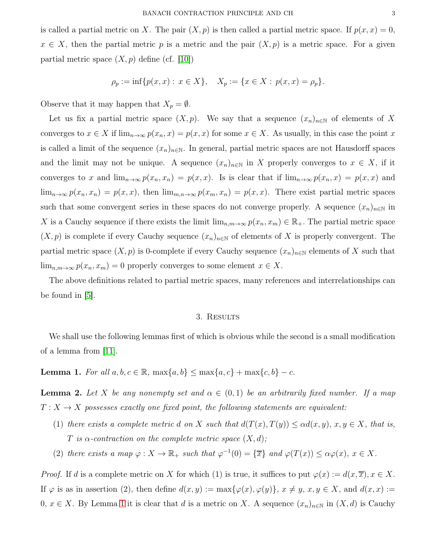is called a partial metric on X. The pair  $(X, p)$  is then called a partial metric space. If  $p(x, x) = 0$ ,  $x \in X$ , then the partial metric p is a metric and the pair  $(X, p)$  is a metric space. For a given partial metric space  $(X, p)$  define (cf. [\[10\]](#page-8-10))

$$
\rho_p := \inf \{ p(x, x) : x \in X \}, \quad X_p := \{ x \in X : p(x, x) = \rho_p \}.
$$

Observe that it may happen that  $X_p = \emptyset$ .

Let us fix a partial metric space  $(X, p)$ . We say that a sequence  $(x_n)_{n\in\mathbb{N}}$  of elements of X converges to  $x \in X$  if  $\lim_{n\to\infty} p(x_n, x) = p(x, x)$  for some  $x \in X$ . As usually, in this case the point x is called a limit of the sequence  $(x_n)_{n\in\mathbb{N}}$ . In general, partial metric spaces are not Hausdorff spaces and the limit may not be unique. A sequence  $(x_n)_{n\in\mathbb{N}}$  in X properly converges to  $x \in X$ , if it converges to x and  $\lim_{n\to\infty} p(x_n, x_n) = p(x, x)$ . Is is clear that if  $\lim_{n\to\infty} p(x_n, x) = p(x, x)$  and  $\lim_{n\to\infty} p(x_n, x_n) = p(x, x)$ , then  $\lim_{m,n\to\infty} p(x_m, x_n) = p(x, x)$ . There exist partial metric spaces such that some convergent series in these spaces do not converge properly. A sequence  $(x_n)_{n\in\mathbb{N}}$  in X is a Cauchy sequence if there exists the limit  $\lim_{n,m\to\infty} p(x_n, x_m) \in \mathbb{R}_+$ . The partial metric space  $(X, p)$  is complete if every Cauchy sequence  $(x_n)_{n\in\mathbb{N}}$  of elements of X is properly convergent. The partial metric space  $(X, p)$  is 0-complete if every Cauchy sequence  $(x_n)_{n\in\mathbb{N}}$  elements of X such that  $\lim_{n,m\to\infty} p(x_n, x_m) = 0$  properly converges to some element  $x \in X$ .

<span id="page-2-0"></span>The above definitions related to partial metric spaces, many references and interrelationships can be found in [\[5\]](#page-8-15).

### 3. RESULTS

We shall use the following lemmas first of which is obvious while the second is a small modification of a lemma from [\[11\]](#page-8-6).

<span id="page-2-1"></span>**Lemma 1.** *For all*  $a, b, c \in \mathbb{R}$ ,  $\max\{a, b\}$  ≤  $\max\{a, c\}$  +  $\max\{c, b\}$  − *c*.

<span id="page-2-2"></span>**Lemma 2.** Let X be any nonempty set and  $\alpha \in (0,1)$  be an arbitrarily fixed number. If a map  $T: X \to X$  possesses exactly one fixed point, the following statements are equivalent:

- (1) *there exists a complete metric* d *on* X *such that*  $d(T(x), T(y)) \leq \alpha d(x, y), x, y \in X$ , that is, T is  $\alpha$ -contraction on the complete metric space  $(X, d)$ ;
- (2) *there exists a map*  $\varphi: X \to \mathbb{R}_+$  *such that*  $\varphi^{-1}(0) = {\overline{x}}$  *and*  $\varphi(T(x)) \leq \alpha \varphi(x)$ ,  $x \in X$ *.*

*Proof.* If d is a complete metric on X for which (1) is true, it suffices to put  $\varphi(x) := d(x, \overline{x}), x \in X$ . If  $\varphi$  is as in assertion (2), then define  $d(x, y) := \max{\varphi(x), \varphi(y)}$ ,  $x \neq y$ ,  $x, y \in X$ , and  $d(x, x) :=$ 0,  $x \in X$ . By Lemma [1](#page-2-1) it is clear that d is a metric on X. A sequence  $(x_n)_{n \in \mathbb{N}}$  in  $(X, d)$  is Cauchy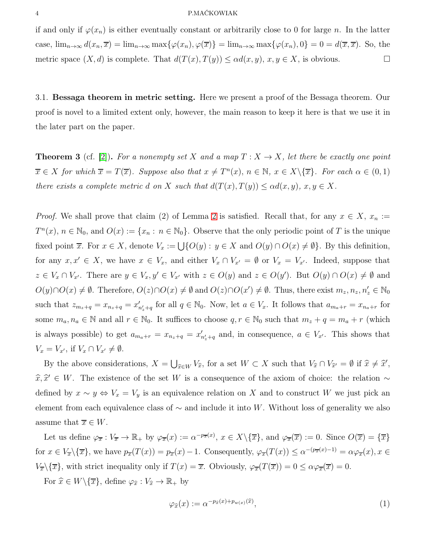### 4 P.MAĆKOWIAK

if and only if  $\varphi(x_n)$  is either eventually constant or arbitrarily close to 0 for large n. In the latter case,  $\lim_{n\to\infty} d(x_n, \overline{x}) = \lim_{n\to\infty} \max{\{\varphi(x_n), \varphi(\overline{x})\}} = \lim_{n\to\infty} \max{\{\varphi(x_n), 0\}} = 0 = d(\overline{x}, \overline{x})$ . So, the metric space  $(X, d)$  is complete. That  $d(T(x), T(y)) \leq \alpha d(x, y), x, y \in X$ , is obvious.

3.1. Bessaga theorem in metric setting. Here we present a proof of the Bessaga theorem. Our proof is novel to a limited extent only, however, the main reason to keep it here is that we use it in the later part on the paper.

<span id="page-3-1"></span>**Theorem 3** (cf. [\[2\]](#page-8-0)). For a nonempty set X and a map  $T: X \to X$ , let there be exactly one point  $\overline{x} \in X$  for which  $\overline{x} = T(\overline{x})$ . Suppose also that  $x \neq T^{n}(x)$ ,  $n \in \mathbb{N}$ ,  $x \in X\setminus {\overline{x}}$ . For each  $\alpha \in (0,1)$ *there exists a complete metric d on* X *such that*  $d(T(x), T(y)) \leq \alpha d(x, y), x, y \in X$ .

*Proof.* We shall prove that claim (2) of Lemma [2](#page-2-2) is satisfied. Recall that, for any  $x \in X$ ,  $x_n :=$  $T^n(x)$ ,  $n \in \mathbb{N}_0$ , and  $O(x) := \{x_n : n \in \mathbb{N}_0\}$ . Observe that the only periodic point of T is the unique fixed point  $\overline{x}$ . For  $x \in X$ , denote  $V_x := \bigcup \{O(y) : y \in X \text{ and } O(y) \cap O(x) \neq \emptyset\}$ . By this definition, for any  $x, x' \in X$ , we have  $x \in V_x$ , and either  $V_x \cap V_{x'} = \emptyset$  or  $V_x = V_{x'}$ . Indeed, suppose that  $z \in V_x \cap V_{x'}$ . There are  $y \in V_x$ ,  $y' \in V_{x'}$  with  $z \in O(y)$  and  $z \in O(y')$ . But  $O(y) \cap O(x) \neq \emptyset$  and  $O(y)\cap O(x) \neq \emptyset$ . Therefore,  $O(z)\cap O(x) \neq \emptyset$  and  $O(z)\cap O(x') \neq \emptyset$ . Thus, there exist  $m_z, n_z, n'_z \in \mathbb{N}_0$ such that  $z_{m_z+q} = x_{n_z+q} = x'_{n'_z+q}$  for all  $q \in \mathbb{N}_0$ . Now, let  $a \in V_x$ . It follows that  $a_{m_a+r} = x_{n_a+r}$  for some  $m_a, n_a \in \mathbb{N}$  and all  $r \in \mathbb{N}_0$ . It suffices to choose  $q, r \in \mathbb{N}_0$  such that  $m_z + q = m_a + r$  (which is always possible) to get  $a_{m_a+r} = x_{n_z+q} = x'_{n'_z+q}$  and, in consequence,  $a \in V_{x'}$ . This shows that  $V_x = V_{x'}$ , if  $V_x \cap V_{x'} \neq \emptyset$ .

By the above considerations,  $X = \bigcup_{\hat{x} \in W} V_{\hat{x}}$ , for a set  $W \subset X$  such that  $V_{\hat{x}} \cap V_{\hat{x}'} = \emptyset$  if  $\hat{x} \neq \hat{x}'$ ,  $\widehat{x}, \widehat{x}' \in W$ . The existence of the set W is a consequence of the axiom of choice: the relation ∼ defined by  $x \sim y \Leftrightarrow V_x = V_y$  is an equivalence relation on X and to construct W we just pick an element from each equivalence class of  $\sim$  and include it into W. Without loss of generality we also assume that  $\overline{x} \in W$ .

Let us define  $\varphi_{\overline{x}} : V_{\overline{x}} \to \mathbb{R}_+$  by  $\varphi_{\overline{x}}(x) := \alpha^{-p_{\overline{x}}(x)}$ ,  $x \in X \setminus {\overline{x}}$ , and  $\varphi_{\overline{x}}(\overline{x}) := 0$ . Since  $O(\overline{x}) = {\overline{x}}$ for  $x \in V_{\overline{x}}\setminus{\overline{x}}$ , we have  $p_{\overline{x}}(T(x)) = p_{\overline{x}}(x) - 1$ . Consequently,  $\varphi_{\overline{x}}(T(x)) \leq \alpha^{-(p_{\overline{x}}(x)-1)} = \alpha \varphi_{\overline{x}}(x)$ ,  $x \in$  $V_{\overline{x}}\backslash {\overline{x}}$ , with strict inequality only if  $T(x) = \overline{x}$ . Obviously,  $\varphi_{\overline{x}}(T(\overline{x})) = 0 \le \alpha \varphi_{\overline{x}}(\overline{x}) = 0$ .

For  $\widehat{x} \in W \backslash {\overline{x}}$ , define  $\varphi_{\widehat{x}} : V_{\widehat{x}} \to \mathbb{R}_+$  by

<span id="page-3-0"></span>
$$
\varphi_{\widehat{x}}(x) := \alpha^{-p_{\widehat{x}}(x) + p_{w(x)}(\widehat{x})},\tag{1}
$$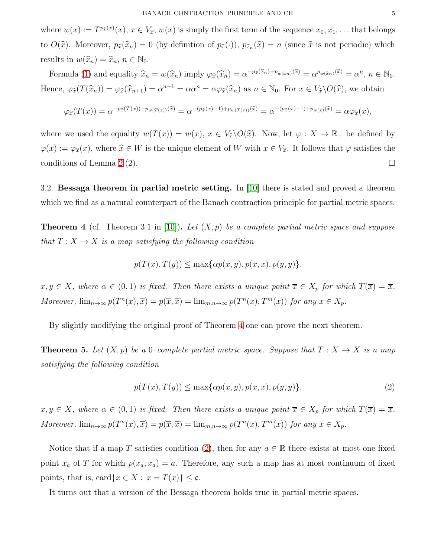where  $w(x) := T^{p_{\widehat{x}}(x)}(x), x \in V_{\widehat{x}}; w(x)$  is simply the first term of the sequence  $x_0, x_1, \ldots$  that belongs to  $O(\hat{x})$ . Moreover,  $p_{\hat{x}}(\hat{x}_n) = 0$  (by definition of  $p_{\hat{x}}(\cdot)$ ),  $p_{\hat{x}_n}(\hat{x}) = n$  (since  $\hat{x}$  is not periodic) which results in  $w(\widehat{x}_n) = \widehat{x}_n, n \in \mathbb{N}_0$ .

Formula [\(1\)](#page-3-0) and equality  $\hat{x}_n = w(\hat{x}_n)$  imply  $\varphi_{\hat{x}}(\hat{x}_n) = \alpha^{-p_{\hat{x}}(\hat{x}_n) + p_{w(\hat{x}_n)}(\hat{x})} = \alpha^{p_{w(\hat{x}_n)}(\hat{x})} = \alpha^n, n \in \mathbb{N}_0$ . Hence,  $\varphi_{\widehat{x}}(T(\widehat{x}_n)) = \varphi_{\widehat{x}}(\widehat{x}_{n+1}) = \alpha^{n+1} = \alpha \alpha^n = \alpha \varphi_{\widehat{x}}(\widehat{x}_n)$  as  $n \in \mathbb{N}_0$ . For  $x \in V_{\widehat{x}}\backslash O(\widehat{x})$ , we obtain

$$
\varphi_{\widehat{x}}(T(x)) = \alpha^{-p_{\widehat{x}}(T(x)) + p_{w(T(x))}(\widehat{x})} = \alpha^{-(p_{\widehat{x}}(x) - 1) + p_{w(T(x))}(\widehat{x})} = \alpha^{-(p_{\widehat{x}}(x) - 1) + p_{w(x)}(\widehat{x})} = \alpha \varphi_{\widehat{x}}(x),
$$

where we used the equality  $w(T(x)) = w(x)$ ,  $x \in V_{\hat{x}}\backslash O(\hat{x})$ . Now, let  $\varphi : X \to \mathbb{R}_+$  be defined by  $\varphi(x) := \varphi_{\widehat{x}}(x)$ , where  $\widehat{x} \in W$  is the unique element of W with  $x \in V_{\widehat{x}}$ . It follows that  $\varphi$  satisfies the conditions of Lemma [2.](#page-2-2)(2).

3.2. Bessaga theorem in partial metric setting. In [\[10\]](#page-8-10) there is stated and proved a theorem which we find as a natural counterpart of the Banach contraction principle for partial metric spaces.

<span id="page-4-0"></span>Theorem 4 (cf. Theorem 3.1 in [\[10\]](#page-8-10)). *Let* (X, p) *be a complete partial metric space and suppose that*  $T: X \to X$  *is a map satisfying the following condition* 

$$
p(T(x), T(y)) \le \max\{\alpha p(x, y), p(x, x), p(y, y)\},\
$$

 $x, y \in X$ , where  $\alpha \in (0,1)$  *is fixed. Then there exists a unique point*  $\overline{x} \in X_p$  *for which*  $T(\overline{x}) = \overline{x}$ *. Moreover,*  $\lim_{n\to\infty} p(T^n(x), \overline{x}) = p(\overline{x}, \overline{x}) = \lim_{m,n\to\infty} p(T^n(x), T^m(x))$  *for any*  $x \in X_p$ *.* 

By slightly modifying the original proof of Theorem [4](#page-4-0) one can prove the next theorem.

**Theorem 5.** Let  $(X, p)$  be a 0–complete partial metric space. Suppose that  $T : X \to X$  is a map *satisfying the following condition*

<span id="page-4-1"></span>
$$
p(T(x), T(y)) \le \max\{\alpha p(x, y), p(x, x), p(y, y)\},\tag{2}
$$

 $x, y \in X$ , where  $\alpha \in (0,1)$  *is fixed. Then there exists a unique point*  $\overline{x} \in X_p$  *for which*  $T(\overline{x}) = \overline{x}$ *. Moreover,*  $\lim_{n\to\infty} p(T^n(x), \overline{x}) = p(\overline{x}, \overline{x}) = \lim_{m,n\to\infty} p(T^n(x), T^m(x))$  *for any*  $x \in X_p$ *.* 

Notice that if a map T satisfies condition [\(2\)](#page-4-1), then for any  $a \in \mathbb{R}$  there exists at most one fixed point  $x_a$  of T for which  $p(x_a, x_a) = a$ . Therefore, any such a map has at most continuum of fixed points, that is, card $\{x \in X : x = T(x)\} \leq \mathfrak{c}$ .

It turns out that a version of the Bessaga theorem holds true in partial metric spaces.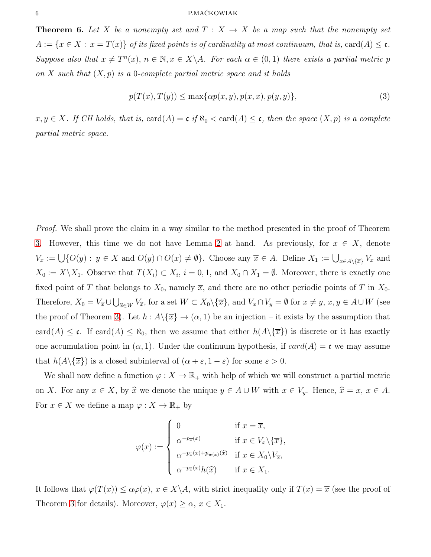<span id="page-5-1"></span>**Theorem 6.** Let X be a nonempty set and  $T: X \rightarrow X$  be a map such that the nonempty set  $A := \{x \in X : x = T(x)\}\$  *of its fixed points is of cardinality at most continuum, that is, card* $(A) \leq \mathfrak{c}$ *. Suppose also that*  $x \neq T^{n}(x)$ ,  $n \in \mathbb{N}, x \in X \backslash A$ *. For each*  $\alpha \in (0,1)$  *there exists a partial metric* p *on* X *such that* (X, p) *is a* 0*-complete partial metric space and it holds*

<span id="page-5-0"></span>
$$
p(T(x),T(y)) \le \max\{\alpha p(x,y), p(x,x), p(y,y)\},\tag{3}
$$

 $x, y \in X$ *. If CH holds, that is,* card $(A) = c$  *if*  $\aleph_0 < \text{card}(A) \leq c$ *, then the space*  $(X, p)$  *is a complete partial metric space.*

*Proof.* We shall prove the claim in a way similar to the method presented in the proof of Theorem [3.](#page-3-1) However, this time we do not have Lemma [2](#page-2-2) at hand. As previously, for  $x \in X$ , denote  $V_x := \bigcup \{O(y) : y \in X \text{ and } O(y) \cap O(x) \neq \emptyset\}.$  Choose any  $\overline{x} \in A$ . Define  $X_1 := \bigcup_{x \in A \setminus {\{\overline{x}\}}} V_x$  and  $X_0 := X \backslash X_1$ . Observe that  $T(X_i) \subset X_i$ ,  $i = 0, 1$ , and  $X_0 \cap X_1 = \emptyset$ . Moreover, there is exactly one fixed point of T that belongs to  $X_0$ , namely  $\overline{x}$ , and there are no other periodic points of T in  $X_0$ . Therefore,  $X_0 = V_{\overline{x}} \cup \bigcup_{\widehat{x} \in W} V_{\widehat{x}}$ , for a set  $W \subset X_0 \setminus {\overline{x}}$ , and  $V_x \cap V_y = \emptyset$  for  $x \neq y$ ,  $x, y \in A \cup W$  (see the proof of Theorem [3\)](#page-3-1). Let  $h : A \setminus {\overline{x}} \to (\alpha, 1)$  be an injection – it exists by the assumption that card(A)  $\leq$  c. If card(A)  $\leq$  N<sub>0</sub>, then we assume that either  $h(A\setminus\{\overline{x}\})$  is discrete or it has exactly one accumulation point in  $(\alpha, 1)$ . Under the continuum hypothesis, if  $card(A) = \mathfrak{c}$  we may assume that  $h(A\setminus\{\overline{x}\})$  is a closed subinterval of  $(\alpha + \varepsilon, 1 - \varepsilon)$  for some  $\varepsilon > 0$ .

We shall now define a function  $\varphi: X \to \mathbb{R}_+$  with help of which we will construct a partial metric on X. For any  $x \in X$ , by  $\hat{x}$  we denote the unique  $y \in A \cup W$  with  $x \in V_y$ . Hence,  $\hat{x} = x, x \in A$ . For  $x \in X$  we define a map  $\varphi: X \to \mathbb{R}_+$  by

$$
\varphi(x) := \begin{cases}\n0 & \text{if } x = \overline{x}, \\
\alpha^{-p_{\overline{x}}(x)} & \text{if } x \in V_{\overline{x}} \setminus {\overline{x}}, \\
\alpha^{-p_{\widehat{x}}(x) + p_{w(x)}(\widehat{x})} & \text{if } x \in X_0 \setminus V_{\overline{x}}, \\
\alpha^{-p_{\widehat{x}}(x)} h(\widehat{x}) & \text{if } x \in X_1.\n\end{cases}
$$

It follows that  $\varphi(T(x)) \leq \alpha \varphi(x)$ ,  $x \in X \backslash A$ , with strict inequality only if  $T(x) = \overline{x}$  (see the proof of Theorem [3](#page-3-1) for details). Moreover,  $\varphi(x) \geq \alpha$ ,  $x \in X_1$ .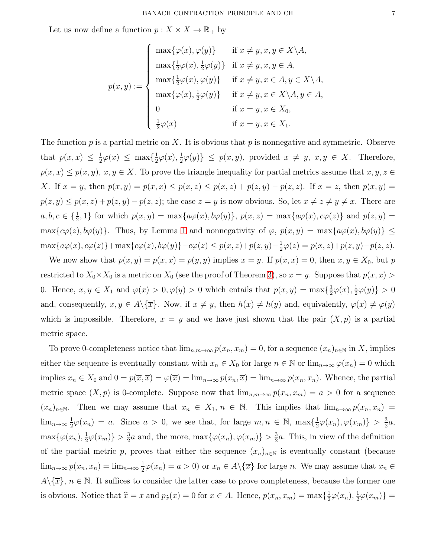Let us now define a function  $p: X \times X \to \mathbb{R}_+$  by

$$
p(x,y) := \begin{cases} \max{\{\varphi(x), \varphi(y)\}} & \text{if } x \neq y, x, y \in X \backslash A, \\ \max{\{\frac{1}{2}\varphi(x), \frac{1}{2}\varphi(y)\}} & \text{if } x \neq y, x, y \in A, \\ \max{\{\frac{1}{2}\varphi(x), \varphi(y)\}} & \text{if } x \neq y, x \in A, y \in X \backslash A, \\ \max{\{\varphi(x), \frac{1}{2}\varphi(y)\}} & \text{if } x \neq y, x \in X \backslash A, y \in A, \\ 0 & \text{if } x = y, x \in X_0, \\ \frac{1}{2}\varphi(x) & \text{if } x = y, x \in X_1. \end{cases}
$$

The function p is a partial metric on X. It is obvious that p is nonnegative and symmetric. Observe that  $p(x, x) \leq \frac{1}{2}$  $\frac{1}{2}\varphi(x) \leq \max\{\frac{1}{2}$  $\frac{1}{2}\varphi(x),\frac{1}{2}$  $\frac{1}{2}\varphi(y)\}\leq p(x,y)$ , provided  $x\neq y$ ,  $x,y\in X$ . Therefore,  $p(x, x) \leq p(x, y), x, y \in X$ . To prove the triangle inequality for partial metrics assume that  $x, y, z \in$ X. If  $x = y$ , then  $p(x, y) = p(x, x) \leq p(x, z) \leq p(x, z) + p(z, y) - p(z, z)$ . If  $x = z$ , then  $p(x, y) = p(x, y)$  $p(z, y) \leq p(x, z) + p(z, y) - p(z, z)$ ; the case  $z = y$  is now obvious. So, let  $x \neq z \neq y \neq x$ . There are  $a, b, c \in \{\frac{1}{2}, 1\}$  for which  $p(x, y) = \max\{a\varphi(x), b\varphi(y)\}, p(x, z) = \max\{a\varphi(x), c\varphi(z)\}\$  and  $p(z, y) =$  $\max\{c\varphi(z), b\varphi(y)\}.$  Thus, by Lemma [1](#page-2-1) and nonnegativity of  $\varphi$ ,  $p(x, y) = \max\{a\varphi(x), b\varphi(y)\}\leq$  $\max\{a\varphi(x),c\varphi(z)\}+\max\{c\varphi(z),b\varphi(y)\}-c\varphi(z)\leq p(x,z)+p(z,y)-\frac{1}{2}$  $\frac{1}{2}\varphi(z) = p(x, z) + p(z, y) - p(z, z).$ 

We now show that  $p(x, y) = p(x, x) = p(y, y)$  implies  $x = y$ . If  $p(x, x) = 0$ , then  $x, y \in X_0$ , but p restricted to  $X_0 \times X_0$  is a metric on  $X_0$  (see the proof of Theorem [3\)](#page-3-1), so  $x = y$ . Suppose that  $p(x, x) >$ 0. Hence,  $x, y \in X_1$  and  $\varphi(x) > 0, \varphi(y) > 0$  which entails that  $p(x, y) = \max\{\frac{1}{2}, \frac{1}{2}, \frac{1}{2}, \frac{1}{2}\}$  $\frac{1}{2}\varphi(x),\frac{1}{2}$  $\frac{1}{2}\varphi(y)\} > 0$ and, consequently,  $x, y \in A \setminus {\overline{x}}$ . Now, if  $x \neq y$ , then  $h(x) \neq h(y)$  and, equivalently,  $\varphi(x) \neq \varphi(y)$ which is impossible. Therefore,  $x = y$  and we have just shown that the pair  $(X, p)$  is a partial metric space.

To prove 0-completeness notice that  $\lim_{n,m\to\infty} p(x_n, x_m) = 0$ , for a sequence  $(x_n)_{n\in\mathbb{N}}$  in X, implies either the sequence is eventually constant with  $x_n \in X_0$  for large  $n \in \mathbb{N}$  or  $\lim_{n\to\infty} \varphi(x_n) = 0$  which implies  $x_n \in X_0$  and  $0 = p(\overline{x}, \overline{x}) = \varphi(\overline{x}) = \lim_{n \to \infty} p(x_n, \overline{x}) = \lim_{n \to \infty} p(x_n, x_n)$ . Whence, the partial metric space  $(X, p)$  is 0-complete. Suppose now that  $\lim_{n,m\to\infty} p(x_n, x_m) = a > 0$  for a sequence  $(x_n)_{n\in\mathbb{N}}$ . Then we may assume that  $x_n \in X_1, n \in \mathbb{N}$ . This implies that  $\lim_{n\to\infty} p(x_n, x_n) =$  $\lim_{n\to\infty}\frac{1}{2}$  $\frac{1}{2}\varphi(x_n) = a$ . Since  $a > 0$ , we see that, for large  $m, n \in \mathbb{N}$ ,  $\max\{\frac{1}{2}\}$  $\frac{1}{2}\varphi(x_n), \varphi(x_m)\} > \frac{3}{2}$  $\frac{3}{2}a,$  $\max\{\varphi(x_n),\frac{1}{2}\}$  $\frac{1}{2}\varphi(x_m)\} > \frac{3}{2}$  $\frac{3}{2}a$  and, the more, max $\{\varphi(x_n), \varphi(x_m)\} > \frac{3}{2}$  $\frac{3}{2}a$ . This, in view of the definition of the partial metric p, proves that either the sequence  $(x_n)_{n\in\mathbb{N}}$  is eventually constant (because  $\lim_{n\to\infty} p(x_n, x_n) = \lim_{n\to\infty} \frac{1}{2}$  $\frac{1}{2}\varphi(x_n) = a > 0$  or  $x_n \in A \setminus {\overline{x}}$  for large *n*. We may assume that  $x_n \in$  $A\setminus\{\overline{x}\}, n \in \mathbb{N}$ . It suffices to consider the latter case to prove completeness, because the former one is obvious. Notice that  $\hat{x} = x$  and  $p_{\hat{x}}(x) = 0$  for  $x \in A$ . Hence,  $p(x_n, x_m) = \max{\frac{1}{2}}$  $\frac{1}{2}\varphi(x_n),\frac{1}{2}$  $\frac{1}{2}\varphi(x_m)\}=$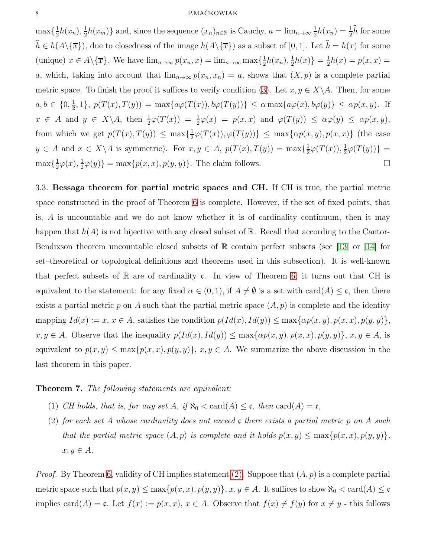### 8 P.MAĆKOWIAK

 $\max\{\frac{1}{2}$  $\frac{1}{2}h(x_n), \frac{1}{2}$  $\frac{1}{2}h(x_m)$  and, since the sequence  $(x_n)_{n\in\mathbb{N}}$  is Cauchy,  $a = \lim_{n\to\infty} \frac{1}{2}$  $\frac{1}{2}h(x_n) = \frac{1}{2}\hat{h}$  for some  $\widehat{h} \in h(A\setminus \{\overline{x}\})$ , due to closedness of the image  $h(A\setminus \{\overline{x}\})$  as a subset of [0, 1]. Let  $\widehat{h} = h(x)$  for some (unique)  $x \in A \setminus {\overline{x}}$ . We have  $\lim_{n \to \infty} p(x_n, x) = \lim_{n \to \infty} \max{\frac{1}{2}}$  $\frac{1}{2}h(x_n), \frac{1}{2}$  $\frac{1}{2}h(x)$ } =  $\frac{1}{2}$  $\frac{1}{2}h(x) = p(x, x) =$ a, which, taking into account that  $\lim_{n\to\infty} p(x_n, x_n) = a$ , shows that  $(X, p)$  is a complete partial metric space. To finish the proof it suffices to verify condition [\(3\)](#page-5-0). Let  $x, y \in X \backslash A$ . Then, for some  $a, b \in \{0, \frac{1}{2}\}$  $\{\frac{1}{2},1\}, p(T(x),T(y)) = \max\{a\varphi(T(x)), b\varphi(T(y))\} \leq \alpha \max\{a\varphi(x), b\varphi(y)\} \leq \alpha p(x, y).$  If  $x \in A$  and  $y \in X \backslash A$ , then  $\frac{1}{2}\varphi(T(x)) = \frac{1}{2}\varphi(x) = p(x,x)$  and  $\varphi(T(y)) \leq \alpha\varphi(y) \leq \alpha p(x,y)$ , from which we get  $p(T(x), T(y)) \leq \max\{\frac{1}{2}\}$  $\frac{1}{2}\varphi(T(x)), \varphi(T(y))\} \leq \max\{\alpha p(x, y), p(x, x)\}$  (the case  $y \in A$  and  $x \in X \backslash A$  is symmetric). For  $x, y \in A$ ,  $p(T(x), T(y)) = \max\{\frac{1}{2}\}$  $\frac{1}{2}\varphi(T(x)),\frac{1}{2}$  $\frac{1}{2}\varphi(T(y))\}$  =  $\max\{\frac{1}{2}$  $\frac{1}{2}\varphi(x),\frac{1}{2}$  $\frac{1}{2}\varphi(y)\} = \max\{p(x,x), p(y,y)\}.$  The claim follows.

3.3. Bessaga theorem for partial metric spaces and CH. If CH is true, the partial metric space constructed in the proof of Theorem [6](#page-5-1) is complete. However, if the set of fixed points, that is,  $A$  is uncountable and we do not know whether it is of cardinality continuum, then it may happen that  $h(A)$  is not bijective with any closed subset of R. Recall that according to the Cantor-Bendixson theorem uncountable closed subsets of  $\mathbb R$  contain perfect subsets (see [\[13\]](#page-8-16) or [\[14\]](#page-8-17) for set–theoretical or topological definitions and theorems used in this subsection). It is well-known that perfect subsets of  $\mathbb R$  are of cardinality c. In view of Theorem [6,](#page-5-1) it turns out that CH is equivalent to the statement: for any fixed  $\alpha \in (0,1)$ , if  $A \neq \emptyset$  is a set with card(A)  $\leq \mathfrak{c}$ , then there exists a partial metric p on A such that the partial metric space  $(A, p)$  is complete and the identity mapping  $Id(x) := x, x \in A$ , satisfies the condition  $p(Id(x), Id(y)) \leq \max\{\alpha p(x, y), p(x, x), p(y, y)\},$  $x, y \in A$ . Observe that the inequality  $p(Id(x), Id(y)) \leq \max\{\alpha p(x, y), p(x, x), p(y, y)\}, x, y \in A$ , is equivalent to  $p(x, y) \le \max\{p(x, x), p(y, y)\}, x, y \in A$ . We summarize the above discussion in the last theorem in this paper.

Theorem 7. *The following statements are equivalent:*

- <span id="page-7-0"></span>(1) *CH holds, that is, for any set A, if*  $\aleph_0 < \text{card}(A) \leq \mathfrak{c}$ *, then*  $\text{card}(A) = \mathfrak{c}$ *,*
- (2) *for each set* A *whose cardinality does not exceed* c *there exists a partial metric* p *on* A *such that the partial metric space*  $(A, p)$  *is complete and it holds*  $p(x, y) \leq \max\{p(x, x), p(y, y)\},$  $x, y \in A$ .

*Proof.* By Theorem [6,](#page-5-1) validity of CH implies statement [\(2\).](#page-7-0) Suppose that  $(A, p)$  is a complete partial metric space such that  $p(x, y) \le \max\{p(x, x), p(y, y)\}\$ ,  $x, y \in A$ . It suffices to show  $\aleph_0 < \text{card}(A) \le \mathfrak{c}$ implies card(A) = c. Let  $f(x) := p(x, x)$ ,  $x \in A$ . Observe that  $f(x) \neq f(y)$  for  $x \neq y$  - this follows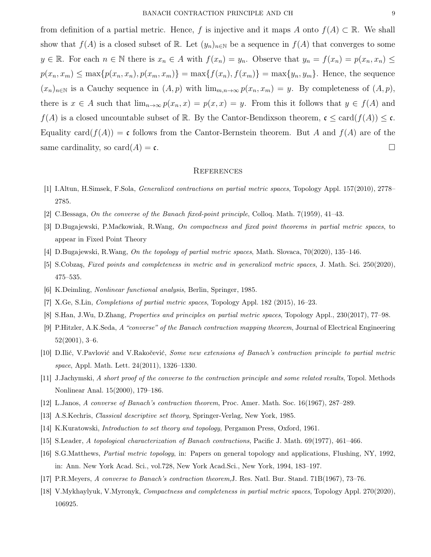from definition of a partial metric. Hence, f is injective and it maps A onto  $f(A) \subset \mathbb{R}$ . We shall show that  $f(A)$  is a closed subset of R. Let  $(y_n)_{n\in\mathbb{N}}$  be a sequence in  $f(A)$  that converges to some  $y \in \mathbb{R}$ . For each  $n \in \mathbb{N}$  there is  $x_n \in A$  with  $f(x_n) = y_n$ . Observe that  $y_n = f(x_n) = p(x_n, x_n) \le$  $p(x_n, x_m) \le \max\{p(x_n, x_n), p(x_m, x_m)\} = \max\{f(x_n), f(x_m)\} = \max\{y_n, y_m\}.$  Hence, the sequence  $(x_n)_{n\in\mathbb{N}}$  is a Cauchy sequence in  $(A, p)$  with  $\lim_{m,n\to\infty} p(x_n, x_m) = y$ . By completeness of  $(A, p)$ , there is  $x \in A$  such that  $\lim_{n\to\infty} p(x_n, x) = p(x, x) = y$ . From this it follows that  $y \in f(A)$  and  $f(A)$  is a closed uncountable subset of R. By the Cantor-Bendixson theorem,  $\mathfrak{c} \leq \text{card}(f(A)) \leq \mathfrak{c}$ . Equality card $(f(A)) = \mathfrak{c}$  follows from the Cantor-Bernstein theorem. But A and  $f(A)$  are of the same cardinality, so card $(A) = \mathfrak{c}$ .

### **REFERENCES**

- <span id="page-8-8"></span><span id="page-8-0"></span>[1] I.Altun, H.Simsek, F.Sola, Generalized contractions on partial metric spaces, Topology Appl. 157(2010), 2778– 2785.
- <span id="page-8-14"></span>[2] C.Bessaga, On the converse of the Banach fixed-point principle, Colloq. Math. 7(1959), 41–43.
- <span id="page-8-9"></span>[3] D.Bugajewski, P.Maćkowiak, R.Wang, On compactness and fixed point theorems in partial metric spaces, to appear in Fixed Point Theory
- <span id="page-8-15"></span>[4] D.Bugajewski, R.Wang, On the topology of partial metric spaces, Math. Slovaca, 70(2020), 135–146.
- <span id="page-8-5"></span>[5] S.Cobzaş, Fixed points and completeness in metric and in generalized metric spaces, J. Math. Sci. 250(2020), 475–535.
- <span id="page-8-11"></span>[6] K.Deimling, Nonlinear functional analysis, Berlin, Springer, 1985.
- <span id="page-8-12"></span>[7] X.Ge, S.Lin, Completions of partial metric spaces, Topology Appl. 182 (2015), 16–23.
- <span id="page-8-1"></span>[8] S.Han, J.Wu, D.Zhang, Properties and principles on partial metric spaces, Topology Appl., 230(2017), 77–98.
- <span id="page-8-10"></span>[9] P.Hitzler, A.K.Seda, A "converse" of the Banach contraction mapping theorem, Journal of Electrical Engineering 52(2001), 3–6.
- <span id="page-8-6"></span>[10] D.Ilić, V.Pavlović and V.Rakočević, Some new extensions of Banach's contraction principle to partial metric space, Appl. Math. Lett. 24(2011), 1326–1330.
- <span id="page-8-2"></span>[11] J.Jachymski, A short proof of the converse to the contraction principle and some related results, Topol. Methods Nonlinear Anal. 15(2000), 179–186.
- <span id="page-8-16"></span>[12] L.Janos, A converse of Banach's contraction theorem, Proc. Amer. Math. Soc. 16(1967), 287–289.
- <span id="page-8-17"></span>[13] A.S.Kechris, Classical descriptive set theory, Springer-Verlag, New York, 1985.
- <span id="page-8-3"></span>[14] K.Kuratowski, Introduction to set theory and topology, Pergamon Press, Oxford, 1961.
- <span id="page-8-7"></span>[15] S.Leader, A topological characterization of Banach contractions, Pacific J. Math. 69(1977), 461–466.
- <span id="page-8-4"></span>[16] S.G.Matthews, Partial metric topology, in: Papers on general topology and applications, Flushing, NY, 1992, in: Ann. New York Acad. Sci., vol.728, New York Acad.Sci., New York, 1994, 183–197.
- <span id="page-8-13"></span>[17] P.R.Meyers, A converse to Banach's contraction theorem,J. Res. Natl. Bur. Stand. 71B(1967), 73–76.
- [18] V.Mykhaylyuk, V.Myronyk, Compactness and completeness in partial metric spaces, Topology Appl. 270(2020), 106925.